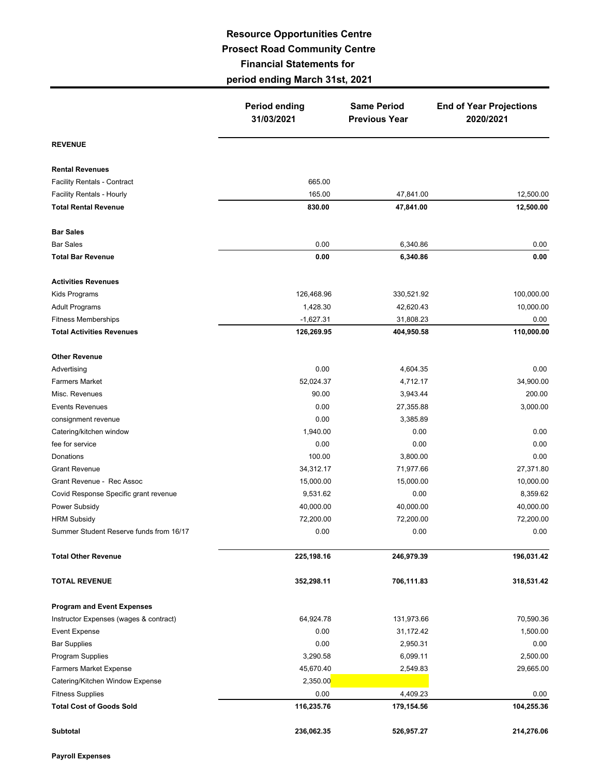## **Resource Opportunities Centre Prosect Road Community Centre Financial Statements for period ending March 31st, 2021**

|                                         | <b>Period ending</b><br>31/03/2021 | <b>Same Period</b><br><b>Previous Year</b> | <b>End of Year Projections</b><br>2020/2021 |  |
|-----------------------------------------|------------------------------------|--------------------------------------------|---------------------------------------------|--|
| <b>REVENUE</b>                          |                                    |                                            |                                             |  |
| <b>Rental Revenues</b>                  |                                    |                                            |                                             |  |
| <b>Facility Rentals - Contract</b>      | 665.00                             |                                            |                                             |  |
| <b>Facility Rentals - Hourly</b>        | 165.00                             | 47,841.00                                  | 12,500.00                                   |  |
| <b>Total Rental Revenue</b>             | 830.00                             | 47,841.00                                  | 12,500.00                                   |  |
| <b>Bar Sales</b>                        |                                    |                                            |                                             |  |
| <b>Bar Sales</b>                        | 0.00                               | 6,340.86                                   | 0.00                                        |  |
| <b>Total Bar Revenue</b>                | 0.00                               | 6,340.86                                   | 0.00                                        |  |
| <b>Activities Revenues</b>              |                                    |                                            |                                             |  |
| Kids Programs                           | 126,468.96                         | 330,521.92                                 | 100,000.00                                  |  |
| <b>Adult Programs</b>                   | 1,428.30                           | 42,620.43                                  | 10,000.00                                   |  |
| <b>Fitness Memberships</b>              | $-1,627.31$                        | 31,808.23                                  | 0.00                                        |  |
| <b>Total Activities Revenues</b>        | 126,269.95                         | 404,950.58                                 | 110,000.00                                  |  |
| <b>Other Revenue</b>                    |                                    |                                            |                                             |  |
| Advertising                             | 0.00                               | 4,604.35                                   | 0.00                                        |  |
| <b>Farmers Market</b>                   | 52,024.37                          | 4,712.17                                   | 34,900.00                                   |  |
| Misc. Revenues                          | 90.00                              | 3,943.44                                   | 200.00                                      |  |
| <b>Events Revenues</b>                  | 0.00                               | 27,355.88                                  | 3,000.00                                    |  |
| consignment revenue                     | 0.00                               | 3,385.89                                   |                                             |  |
| Catering/kitchen window                 | 1,940.00                           | 0.00                                       | 0.00                                        |  |
| fee for service                         | 0.00                               | 0.00                                       | 0.00                                        |  |
| Donations                               | 100.00                             | 3,800.00                                   | 0.00                                        |  |
| <b>Grant Revenue</b>                    | 34,312.17                          | 71,977.66                                  | 27,371.80                                   |  |
| Grant Revenue - Rec Assoc               | 15,000.00                          | 15,000.00                                  | 10,000.00                                   |  |
| Covid Response Specific grant revenue   | 9,531.62                           | 0.00                                       | 8,359.62                                    |  |
| Power Subsidy                           | 40,000.00                          | 40,000.00                                  | 40,000.00                                   |  |
| <b>HRM Subsidy</b>                      | 72,200.00                          | 72,200.00                                  | 72,200.00                                   |  |
| Summer Student Reserve funds from 16/17 | 0.00                               | 0.00                                       | 0.00                                        |  |
| <b>Total Other Revenue</b>              | 225,198.16                         | 246,979.39                                 | 196,031.42                                  |  |
| <b>TOTAL REVENUE</b>                    | 352,298.11                         | 706,111.83                                 | 318,531.42                                  |  |
| <b>Program and Event Expenses</b>       |                                    |                                            |                                             |  |
| Instructor Expenses (wages & contract)  | 64,924.78                          | 131,973.66                                 | 70,590.36                                   |  |
| Event Expense                           | 0.00                               | 31,172.42                                  | 1,500.00                                    |  |
| <b>Bar Supplies</b>                     | 0.00                               | 2,950.31                                   | 0.00                                        |  |
| Program Supplies                        | 3,290.58                           | 6,099.11                                   | 2,500.00                                    |  |
| <b>Farmers Market Expense</b>           | 45,670.40                          | 2,549.83                                   | 29,665.00                                   |  |
| Catering/Kitchen Window Expense         | 2,350.00                           |                                            |                                             |  |
| <b>Fitness Supplies</b>                 | 0.00                               | 4,409.23                                   | 0.00                                        |  |
| <b>Total Cost of Goods Sold</b>         | 116,235.76                         | 179,154.56                                 | 104,255.36                                  |  |
| <b>Subtotal</b>                         | 236,062.35                         | 526,957.27                                 | 214,276.06                                  |  |